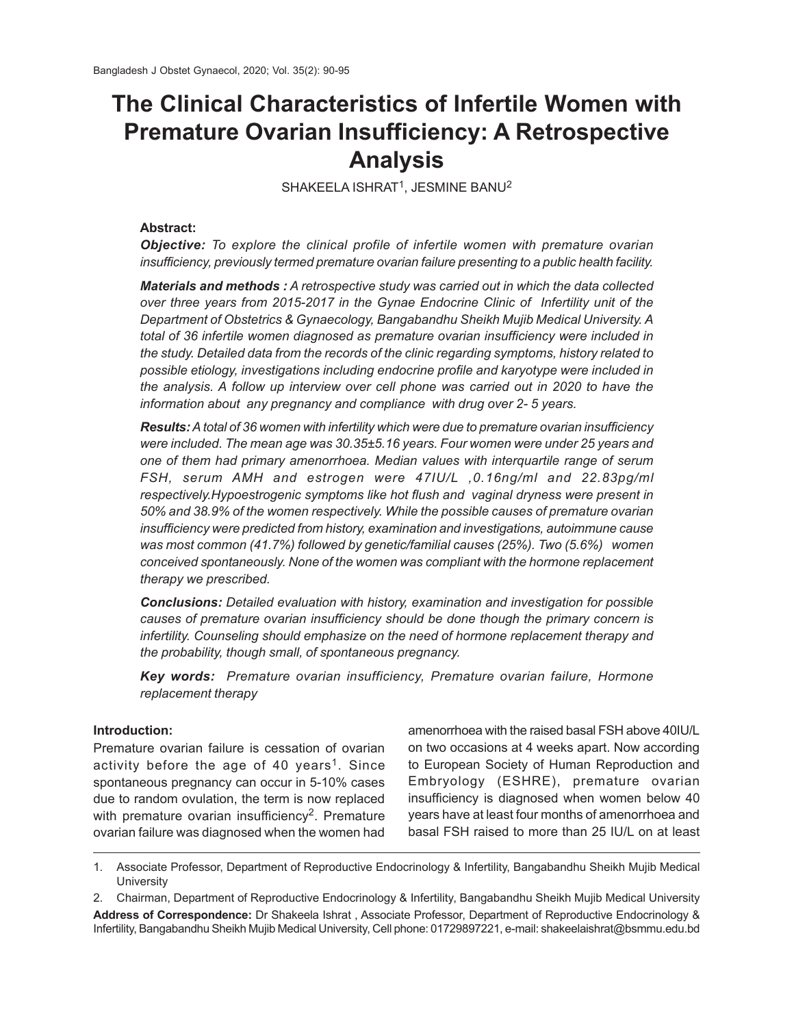# **The Clinical Characteristics of Infertile Women with Premature Ovarian Insufficiency: A Retrospective Analysis**

SHAKEELA ISHRAT $^1$ , JESMINE BANU $^2$ 

# **Abstract:**

*Objective: To explore the clinical profile of infertile women with premature ovarian insufficiency, previously termed premature ovarian failure presenting to a public health facility.*

*Materials and methods : A retrospective study was carried out in which the data collected over three years from 2015-2017 in the Gynae Endocrine Clinic of Infertility unit of the Department of Obstetrics & Gynaecology, Bangabandhu Sheikh Mujib Medical University. A total of 36 infertile women diagnosed as premature ovarian insufficiency were included in the study. Detailed data from the records of the clinic regarding symptoms, history related to possible etiology, investigations including endocrine profile and karyotype were included in the analysis. A follow up interview over cell phone was carried out in 2020 to have the information about any pregnancy and compliance with drug over 2- 5 years.*

*Results: A total of 36 women with infertility which were due to premature ovarian insufficiency were included. The mean age was 30.35±5.16 years. Four women were under 25 years and one of them had primary amenorrhoea. Median values with interquartile range of serum FSH, serum AMH and estrogen were 47IU/L ,0.16ng/ml and 22.83pg/ml respectively.Hypoestrogenic symptoms like hot flush and vaginal dryness were present in 50% and 38.9% of the women respectively. While the possible causes of premature ovarian insufficiency were predicted from history, examination and investigations, autoimmune cause was most common (41.7%) followed by genetic/familial causes (25%). Two (5.6%) women conceived spontaneously. None of the women was compliant with the hormone replacement therapy we prescribed.*

*Conclusions: Detailed evaluation with history, examination and investigation for possible causes of premature ovarian insufficiency should be done though the primary concern is infertility. Counseling should emphasize on the need of hormone replacement therapy and the probability, though small, of spontaneous pregnancy.*

*Key words: Premature ovarian insufficiency, Premature ovarian failure, Hormone replacement therapy*

# **Introduction:**

Premature ovarian failure is cessation of ovarian activity before the age of 40 years<sup>1</sup>. Since spontaneous pregnancy can occur in 5-10% cases due to random ovulation, the term is now replaced with premature ovarian insufficiency $^2$ . Premature ovarian failure was diagnosed when the women had amenorrhoea with the raised basal FSH above 40IU/L on two occasions at 4 weeks apart. Now according to European Society of Human Reproduction and Embryology (ESHRE), premature ovarian insufficiency is diagnosed when women below 40 years have at least four months of amenorrhoea and basal FSH raised to more than 25 IU/L on at least

<sup>1.</sup> Associate Professor, Department of Reproductive Endocrinology & Infertility, Bangabandhu Sheikh Mujib Medical **University** 

<sup>2.</sup> Chairman, Department of Reproductive Endocrinology & Infertility, Bangabandhu Sheikh Mujib Medical University **Address of Correspondence:** Dr Shakeela Ishrat , Associate Professor, Department of Reproductive Endocrinology & Infertility, Bangabandhu Sheikh Mujib Medical University, Cell phone: 01729897221, e-mail: shakeelaishrat@bsmmu.edu.bd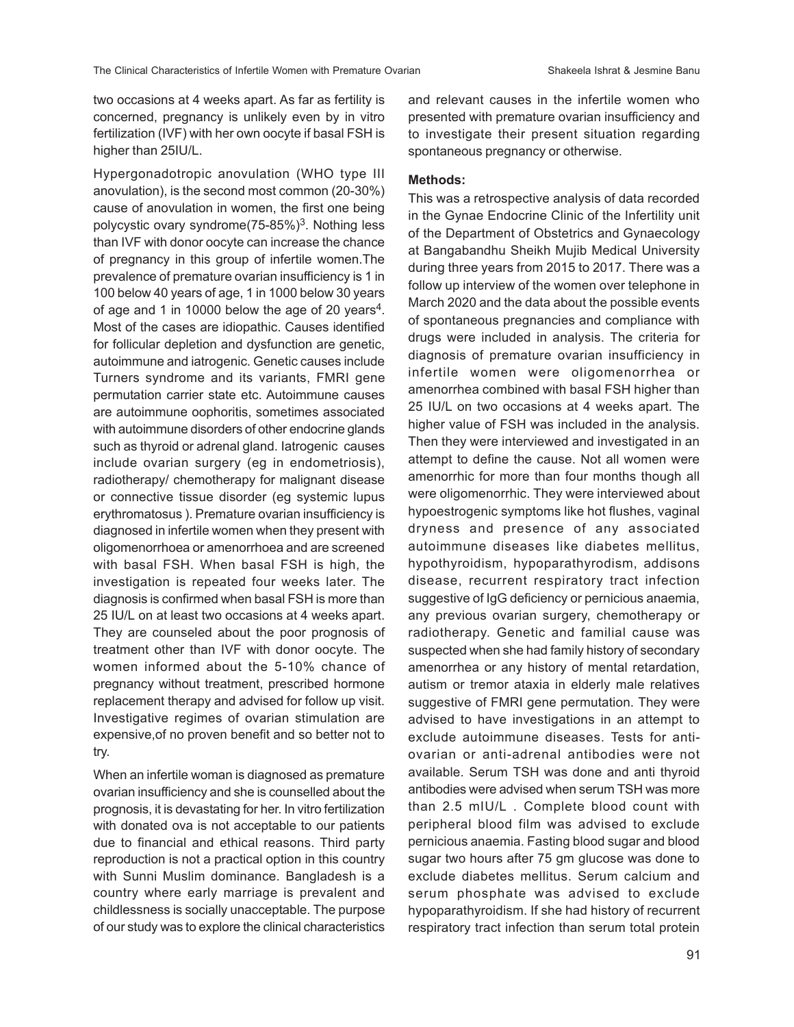two occasions at 4 weeks apart. As far as fertility is concerned, pregnancy is unlikely even by in vitro fertilization (IVF) with her own oocyte if basal FSH is higher than 25IU/L.

Hypergonadotropic anovulation (WHO type III anovulation), is the second most common (20-30%) cause of anovulation in women, the first one being polycystic ovary syndrome(75-85%)<sup>3</sup>. Nothing less than IVF with donor oocyte can increase the chance of pregnancy in this group of infertile women.The prevalence of premature ovarian insufficiency is 1 in 100 below 40 years of age, 1 in 1000 below 30 years of age and 1 in 10000 below the age of 20 years<sup>4</sup>. Most of the cases are idiopathic. Causes identified for follicular depletion and dysfunction are genetic, autoimmune and iatrogenic. Genetic causes include Turners syndrome and its variants, FMRI gene permutation carrier state etc. Autoimmune causes are autoimmune oophoritis, sometimes associated with autoimmune disorders of other endocrine glands such as thyroid or adrenal gland. Iatrogenic causes include ovarian surgery (eg in endometriosis), radiotherapy/ chemotherapy for malignant disease or connective tissue disorder (eg systemic lupus erythromatosus ). Premature ovarian insufficiency is diagnosed in infertile women when they present with oligomenorrhoea or amenorrhoea and are screened with basal FSH. When basal FSH is high, the investigation is repeated four weeks later. The diagnosis is confirmed when basal FSH is more than 25 IU/L on at least two occasions at 4 weeks apart. They are counseled about the poor prognosis of treatment other than IVF with donor oocyte. The women informed about the 5-10% chance of pregnancy without treatment, prescribed hormone replacement therapy and advised for follow up visit. Investigative regimes of ovarian stimulation are expensive,of no proven benefit and so better not to try.

When an infertile woman is diagnosed as premature ovarian insufficiency and she is counselled about the prognosis, it is devastating for her. In vitro fertilization with donated ova is not acceptable to our patients due to financial and ethical reasons. Third party reproduction is not a practical option in this country with Sunni Muslim dominance. Bangladesh is a country where early marriage is prevalent and childlessness is socially unacceptable. The purpose of our study was to explore the clinical characteristics

and relevant causes in the infertile women who presented with premature ovarian insufficiency and to investigate their present situation regarding spontaneous pregnancy or otherwise.

## **Methods:**

This was a retrospective analysis of data recorded in the Gynae Endocrine Clinic of the Infertility unit of the Department of Obstetrics and Gynaecology at Bangabandhu Sheikh Mujib Medical University during three years from 2015 to 2017. There was a follow up interview of the women over telephone in March 2020 and the data about the possible events of spontaneous pregnancies and compliance with drugs were included in analysis. The criteria for diagnosis of premature ovarian insufficiency in infertile women were oligomenorrhea or amenorrhea combined with basal FSH higher than 25 IU/L on two occasions at 4 weeks apart. The higher value of FSH was included in the analysis. Then they were interviewed and investigated in an attempt to define the cause. Not all women were amenorrhic for more than four months though all were oligomenorrhic. They were interviewed about hypoestrogenic symptoms like hot flushes, vaginal dryness and presence of any associated autoimmune diseases like diabetes mellitus, hypothyroidism, hypoparathyrodism, addisons disease, recurrent respiratory tract infection suggestive of IgG deficiency or pernicious anaemia, any previous ovarian surgery, chemotherapy or radiotherapy. Genetic and familial cause was suspected when she had family history of secondary amenorrhea or any history of mental retardation, autism or tremor ataxia in elderly male relatives suggestive of FMRI gene permutation. They were advised to have investigations in an attempt to exclude autoimmune diseases. Tests for antiovarian or anti-adrenal antibodies were not available. Serum TSH was done and anti thyroid antibodies were advised when serum TSH was more than 2.5 mIU/L . Complete blood count with peripheral blood film was advised to exclude pernicious anaemia. Fasting blood sugar and blood sugar two hours after 75 gm glucose was done to exclude diabetes mellitus. Serum calcium and serum phosphate was advised to exclude hypoparathyroidism. If she had history of recurrent respiratory tract infection than serum total protein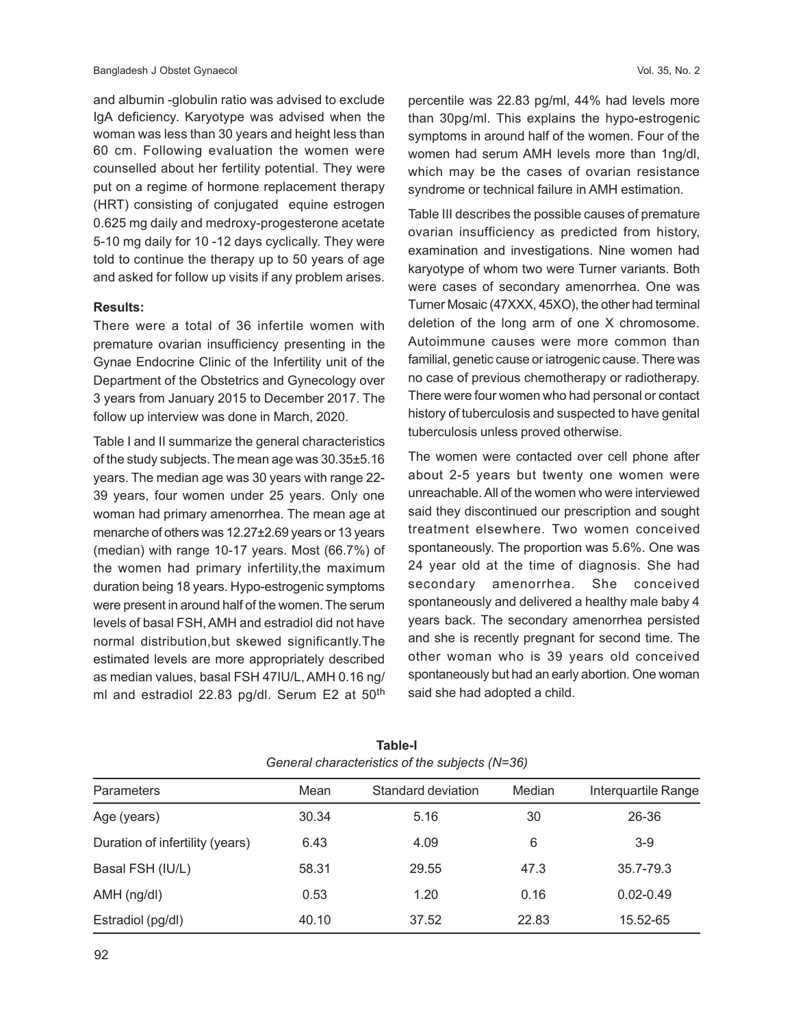and albumin -globulin ratio was advised to exclude IgA deficiency. Karyotype was advised when the woman was less than 30 years and height less than 60 cm. Following evaluation the women were counselled about her fertility potential. They were put on a regime of hormone replacement therapy (HRT) consisting of conjugated equine estrogen 0.625 mg daily and medroxy-progesterone acetate 5-10 mg daily for 10 -12 days cyclically. They were told to continue the therapy up to 50 years of age and asked for follow up visits if any problem arises.

#### **Results:**

There were a total of 36 infertile women with premature ovarian insufficiency presenting in the Gynae Endocrine Clinic of the Infertility unit of the Department of the Obstetrics and Gynecology over 3 years from January 2015 to December 2017. The follow up interview was done in March, 2020.

Table I and II summarize the general characteristics of the study subjects. The mean age was 30.35±5.16 years. The median age was 30 years with range 22- 39 years, four women under 25 years. Only one woman had primary amenorrhea. The mean age at menarche of others was 12.27±2.69 years or 13 years (median) with range 10-17 years. Most (66.7%) of the women had primary infertility,the maximum duration being 18 years. Hypo-estrogenic symptoms were present in around half of the women. The serum levels of basal FSH, AMH and estradiol did not have normal distribution,but skewed significantly.The estimated levels are more appropriately described as median values, basal FSH 47IU/L, AMH 0.16 ng/ ml and estradiol 22.83 pg/dl. Serum E2 at  $50<sup>th</sup>$  percentile was 22.83 pg/ml, 44% had levels more than 30pg/ml. This explains the hypo-estrogenic symptoms in around half of the women. Four of the women had serum AMH levels more than 1ng/dl, which may be the cases of ovarian resistance syndrome or technical failure in AMH estimation.

Table III describes the possible causes of premature ovarian insufficiency as predicted from history, examination and investigations. Nine women had karyotype of whom two were Turner variants. Both were cases of secondary amenorrhea. One was Turner Mosaic (47XXX, 45XO), the other had terminal deletion of the long arm of one X chromosome. Autoimmune causes were more common than familial, genetic cause or iatrogenic cause. There was no case of previous chemotherapy or radiotherapy. There were four women who had personal or contact history of tuberculosis and suspected to have genital tuberculosis unless proved otherwise.

The women were contacted over cell phone after about 2-5 years but twenty one women were unreachable. All of the women who were interviewed said they discontinued our prescription and sought treatment elsewhere. Two women conceived spontaneously. The proportion was 5.6%. One was 24 year old at the time of diagnosis. She had secondary amenorrhea. She conceived spontaneously and delivered a healthy male baby 4 years back. The secondary amenorrhea persisted and she is recently pregnant for second time. The other woman who is 39 years old conceived spontaneously but had an early abortion. One woman said she had adopted a child.

| <b>Parameters</b>               | Mean  | Standard deviation | Median | Interquartile Range |  |
|---------------------------------|-------|--------------------|--------|---------------------|--|
| Age (years)                     | 30.34 | 5.16               | 30     | 26-36               |  |
| Duration of infertility (years) | 6.43  | 4.09               | 6      | $3-9$               |  |
| Basal FSH (IU/L)                | 58.31 | 29.55              | 47.3   | 35.7-79.3           |  |
| $AMH$ (ng/dl)                   | 0.53  | 1.20               | 0.16   | $0.02 - 0.49$       |  |
| Estradiol (pg/dl)               | 40.10 | 37.52              | 22.83  | 15.52-65            |  |

**Table-I** *General characteristics of the subjects (N=36)*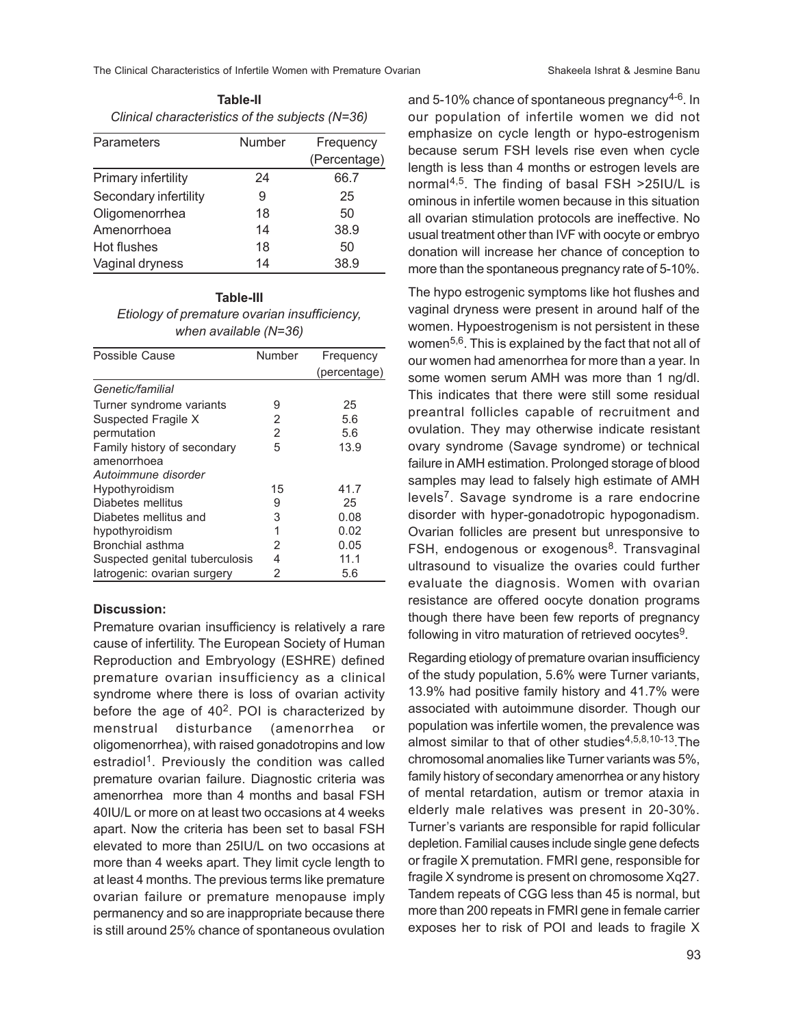The Clinical Characteristics of Infertile Women with Premature Ovarian Shakeela Ishrat & Jesmine Banu

**Table-II** *Clinical characteristics of the subjects (N=36)*

| Parameters            | Number | Frequency    |
|-----------------------|--------|--------------|
|                       |        | (Percentage) |
| Primary infertility   | 24     | 66.7         |
| Secondary infertility | 9      | 25           |
| Oligomenorrhea        | 18     | 50           |
| Amenorrhoea           | 14     | 38.9         |
| Hot flushes           | 18     | 50           |
| Vaginal dryness       | 14     | 38.9         |

## **Table-III** *Etiology of premature ovarian insufficiency, when available (N=36)*

| Possible Cause                 | Number | Frequency    |
|--------------------------------|--------|--------------|
|                                |        | (percentage) |
| Genetic/familial               |        |              |
| Turner syndrome variants       | 9      | 25           |
| Suspected Fragile X            | 2      | 5.6          |
| permutation                    | 2      | 5.6          |
| Family history of secondary    | 5      | 13.9         |
| amenorrhoea                    |        |              |
| Autoimmune disorder            |        |              |
| Hypothyroidism                 | 15     | 41.7         |
| Diabetes mellitus              | 9      | 25           |
| Diabetes mellitus and          | 3      | 0.08         |
| hypothyroidism                 | 1      | 0.02         |
| Bronchial asthma               | 2      | 0.05         |
| Suspected genital tuberculosis | 4      | 11.1         |
| latrogenic: ovarian surgery    | 2      | 5.6          |

# **Discussion:**

Premature ovarian insufficiency is relatively a rare cause of infertility. The European Society of Human Reproduction and Embryology (ESHRE) defined premature ovarian insufficiency as a clinical syndrome where there is loss of ovarian activity before the age of  $40^2$ . POI is characterized by menstrual disturbance (amenorrhea or oligomenorrhea), with raised gonadotropins and low estradiol<sup>1</sup>. Previously the condition was called premature ovarian failure. Diagnostic criteria was amenorrhea more than 4 months and basal FSH 40IU/L or more on at least two occasions at 4 weeks apart. Now the criteria has been set to basal FSH elevated to more than 25IU/L on two occasions at more than 4 weeks apart. They limit cycle length to at least 4 months. The previous terms like premature ovarian failure or premature menopause imply permanency and so are inappropriate because there is still around 25% chance of spontaneous ovulation and 5-10% chance of spontaneous pregnancy $4-6$ . In our population of infertile women we did not emphasize on cycle length or hypo-estrogenism because serum FSH levels rise even when cycle length is less than 4 months or estrogen levels are normal4,5 . The finding of basal FSH >25IU/L is ominous in infertile women because in this situation all ovarian stimulation protocols are ineffective. No usual treatment other than IVF with oocyte or embryo donation will increase her chance of conception to more than the spontaneous pregnancy rate of 5-10%.

The hypo estrogenic symptoms like hot flushes and vaginal dryness were present in around half of the women. Hypoestrogenism is not persistent in these women<sup>5,6</sup>. This is explained by the fact that not all of our women had amenorrhea for more than a year. In some women serum AMH was more than 1 ng/dl. This indicates that there were still some residual preantral follicles capable of recruitment and ovulation. They may otherwise indicate resistant ovary syndrome (Savage syndrome) or technical failure in AMH estimation. Prolonged storage of blood samples may lead to falsely high estimate of AMH levels<sup>7</sup>. Savage syndrome is a rare endocrine disorder with hyper-gonadotropic hypogonadism. Ovarian follicles are present but unresponsive to FSH, endogenous or exogenous<sup>8</sup>. Transvaginal ultrasound to visualize the ovaries could further evaluate the diagnosis. Women with ovarian resistance are offered oocyte donation programs though there have been few reports of pregnancy following in vitro maturation of retrieved oocytes $^9$ .

Regarding etiology of premature ovarian insufficiency of the study population, 5.6% were Turner variants, 13.9% had positive family history and 41.7% were associated with autoimmune disorder. Though our population was infertile women, the prevalence was almost similar to that of other studies $4,5,8,10-13$ . The chromosomal anomalies like Turner variants was 5%, family history of secondary amenorrhea or any history of mental retardation, autism or tremor ataxia in elderly male relatives was present in 20-30%. Turner's variants are responsible for rapid follicular depletion. Familial causes include single gene defects or fragile X premutation. FMRI gene, responsible for fragile X syndrome is present on chromosome Xq27. Tandem repeats of CGG less than 45 is normal, but more than 200 repeats in FMRI gene in female carrier exposes her to risk of POI and leads to fragile X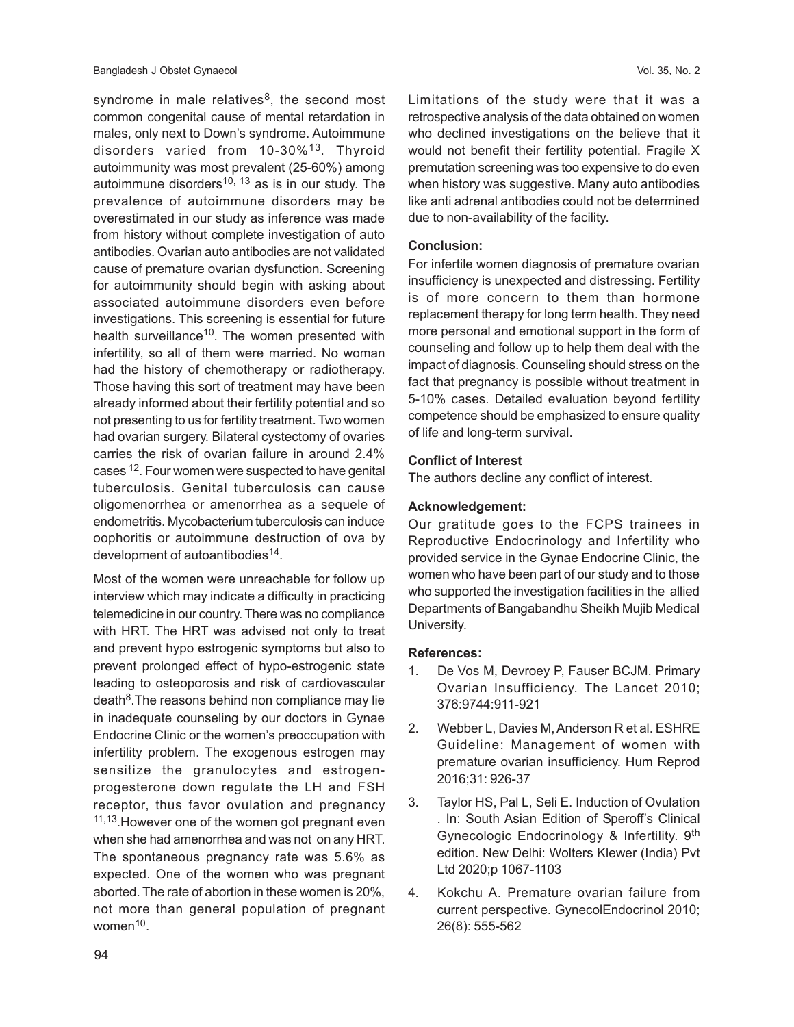syndrome in male relatives<sup>8</sup>, the second most common congenital cause of mental retardation in males, only next to Down's syndrome. Autoimmune disorders varied from 10-30%<sup>13</sup>. Thyroid autoimmunity was most prevalent (25-60%) among autoimmune disorders<sup>10, 13</sup> as is in our study. The prevalence of autoimmune disorders may be overestimated in our study as inference was made from history without complete investigation of auto antibodies. Ovarian auto antibodies are not validated cause of premature ovarian dysfunction. Screening for autoimmunity should begin with asking about associated autoimmune disorders even before investigations. This screening is essential for future health surveillance<sup>10</sup>. The women presented with infertility, so all of them were married. No woman had the history of chemotherapy or radiotherapy. Those having this sort of treatment may have been already informed about their fertility potential and so not presenting to us for fertility treatment. Two women had ovarian surgery. Bilateral cystectomy of ovaries carries the risk of ovarian failure in around 2.4% cases 12. Four women were suspected to have genital tuberculosis. Genital tuberculosis can cause oligomenorrhea or amenorrhea as a sequele of endometritis. Mycobacterium tuberculosis can induce oophoritis or autoimmune destruction of ova by development of autoantibodies<sup>14</sup>.

Most of the women were unreachable for follow up interview which may indicate a difficulty in practicing telemedicine in our country. There was no compliance with HRT. The HRT was advised not only to treat and prevent hypo estrogenic symptoms but also to prevent prolonged effect of hypo-estrogenic state leading to osteoporosis and risk of cardiovascular death<sup>8</sup>.The reasons behind non compliance may lie in inadequate counseling by our doctors in Gynae Endocrine Clinic or the women's preoccupation with infertility problem. The exogenous estrogen may sensitize the granulocytes and estrogenprogesterone down regulate the LH and FSH receptor, thus favor ovulation and pregnancy <sup>11,13</sup>. However one of the women got pregnant even when she had amenorrhea and was not on any HRT. The spontaneous pregnancy rate was 5.6% as expected. One of the women who was pregnant aborted. The rate of abortion in these women is 20%, not more than general population of pregnant women<sup>10</sup>.

Limitations of the study were that it was a retrospective analysis of the data obtained on women who declined investigations on the believe that it would not benefit their fertility potential. Fragile X premutation screening was too expensive to do even when history was suggestive. Many auto antibodies like anti adrenal antibodies could not be determined due to non-availability of the facility.

#### **Conclusion:**

For infertile women diagnosis of premature ovarian insufficiency is unexpected and distressing. Fertility is of more concern to them than hormone replacement therapy for long term health. They need more personal and emotional support in the form of counseling and follow up to help them deal with the impact of diagnosis. Counseling should stress on the fact that pregnancy is possible without treatment in 5-10% cases. Detailed evaluation beyond fertility competence should be emphasized to ensure quality of life and long-term survival.

## **Conflict of Interest**

The authors decline any conflict of interest.

## **Acknowledgement:**

Our gratitude goes to the FCPS trainees in Reproductive Endocrinology and Infertility who provided service in the Gynae Endocrine Clinic, the women who have been part of our study and to those who supported the investigation facilities in the allied Departments of Bangabandhu Sheikh Mujib Medical University.

## **References:**

- 1. De Vos M, Devroey P, Fauser BCJM. Primary Ovarian Insufficiency. The Lancet 2010; 376:9744:911-921
- 2. Webber L, Davies M, Anderson R et al. ESHRE Guideline: Management of women with premature ovarian insufficiency. Hum Reprod 2016;31: 926-37
- 3. Taylor HS, Pal L, Seli E. Induction of Ovulation . In: South Asian Edition of Speroff's Clinical Gynecologic Endocrinology & Infertility. 9th edition. New Delhi: Wolters Klewer (India) Pvt Ltd 2020;p 1067-1103
- 4. Kokchu A. Premature ovarian failure from current perspective. GynecolEndocrinol 2010; 26(8): 555-562